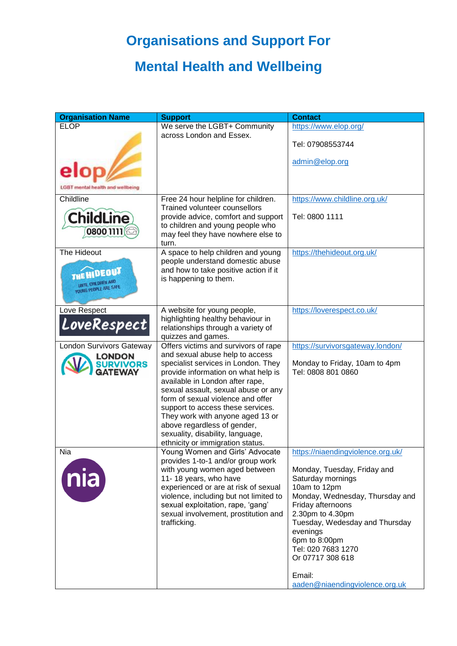## **Organisations and Support For**

## **Mental Health and Wellbeing**

| <b>Organisation Name</b>                 | <b>Support</b>                                                                  | <b>Contact</b>                                  |
|------------------------------------------|---------------------------------------------------------------------------------|-------------------------------------------------|
| <b>ELOP</b>                              | We serve the LGBT+ Community<br>across London and Essex.                        | https://www.elop.org/                           |
|                                          |                                                                                 | Tel: 07908553744                                |
|                                          |                                                                                 | admin@elop.org                                  |
|                                          |                                                                                 |                                                 |
| nental health and wellbeing              |                                                                                 |                                                 |
| Childline                                | Free 24 hour helpline for children.<br><b>Trained volunteer counsellors</b>     | https://www.childline.org.uk/                   |
| <b>ChildLine</b>                         | provide advice, comfort and support                                             | Tel: 0800 1111                                  |
| 0800 1111                                | to children and young people who<br>may feel they have nowhere else to<br>turn. |                                                 |
| The Hideout                              | A space to help children and young                                              | https://thehideout.org.uk/                      |
|                                          | people understand domestic abuse<br>and how to take positive action if it       |                                                 |
| THE HIDEOUT<br><b>UNTIL CHILDREN AND</b> | is happening to them.                                                           |                                                 |
| YOUNG PEOPLE ARE SAFE                    |                                                                                 |                                                 |
| Love Respect                             | A website for young people,                                                     | https://loverespect.co.uk/                      |
| LoveRespect                              | highlighting healthy behaviour in<br>relationships through a variety of         |                                                 |
|                                          | quizzes and games.                                                              |                                                 |
| <b>London Survivors Gateway</b>          | Offers victims and survivors of rape                                            | https://survivorsgateway.london/                |
| <b>LONDON</b><br><b>SURVIVORS</b>        | and sexual abuse help to access<br>specialist services in London. They          | Monday to Friday, 10am to 4pm                   |
| <b>GATEWAY</b>                           | provide information on what help is                                             | Tel: 0808 801 0860                              |
|                                          | available in London after rape,<br>sexual assault, sexual abuse or any          |                                                 |
|                                          | form of sexual violence and offer                                               |                                                 |
|                                          | support to access these services.                                               |                                                 |
|                                          | They work with anyone aged 13 or<br>above regardless of gender,                 |                                                 |
|                                          | sexuality, disability, language,                                                |                                                 |
|                                          | ethnicity or immigration status.                                                |                                                 |
| Nia                                      | Young Women and Girls' Advocate<br>provides 1-to-1 and/or group work            | https://niaendingviolence.org.uk/               |
|                                          | with young women aged between                                                   | Monday, Tuesday, Friday and                     |
| nia                                      | 11-18 years, who have                                                           | Saturday mornings                               |
|                                          | experienced or are at risk of sexual<br>violence, including but not limited to  | 10am to 12pm<br>Monday, Wednesday, Thursday and |
|                                          | sexual exploitation, rape, 'gang'                                               | Friday afternoons                               |
|                                          | sexual involvement, prostitution and                                            | 2.30pm to 4.30pm                                |
|                                          | trafficking.                                                                    | Tuesday, Wedesday and Thursday<br>evenings      |
|                                          |                                                                                 | 6pm to 8:00pm                                   |
|                                          |                                                                                 | Tel: 020 7683 1270                              |
|                                          |                                                                                 | Or 07717 308 618                                |
|                                          |                                                                                 | Email:                                          |
|                                          |                                                                                 | aaden@niaendingviolence.org.uk                  |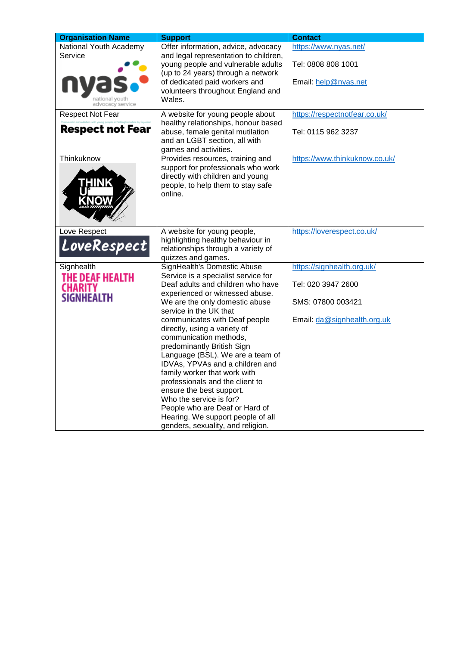| <b>Organisation Name</b>                                                | <b>Support</b>                                                                                                                                                                                                                                                                                                                                                                                                                     | <b>Contact</b>                                                      |
|-------------------------------------------------------------------------|------------------------------------------------------------------------------------------------------------------------------------------------------------------------------------------------------------------------------------------------------------------------------------------------------------------------------------------------------------------------------------------------------------------------------------|---------------------------------------------------------------------|
| National Youth Academy<br>Service<br>national vouth<br>advocacy service | Offer information, advice, advocacy<br>and legal representation to children,<br>young people and vulnerable adults<br>(up to 24 years) through a network<br>of dedicated paid workers and<br>volunteers throughout England and<br>Wales.                                                                                                                                                                                           | https://www.nyas.net/<br>Tel: 0808 808 1001<br>Email: help@nyas.net |
| <b>Respect Not Fear</b>                                                 | A website for young people about                                                                                                                                                                                                                                                                                                                                                                                                   | https://respectnotfear.co.uk/                                       |
| <b>Respect not Fear</b>                                                 | healthy relationships, honour based<br>abuse, female genital mutilation<br>and an LGBT section, all with<br>games and activities.                                                                                                                                                                                                                                                                                                  | Tel: 0115 962 3237                                                  |
| Thinkuknow<br><b>HINK</b>                                               | Provides resources, training and<br>support for professionals who work<br>directly with children and young<br>people, to help them to stay safe<br>online.                                                                                                                                                                                                                                                                         | https://www.thinkuknow.co.uk/                                       |
| Love Respect<br>LoveRespect                                             | A website for young people,<br>highlighting healthy behaviour in<br>relationships through a variety of<br>quizzes and games.                                                                                                                                                                                                                                                                                                       | https://loverespect.co.uk/                                          |
| Signhealth                                                              | SignHealth's Domestic Abuse                                                                                                                                                                                                                                                                                                                                                                                                        | https://signhealth.org.uk/                                          |
| THE DEAF HEALTH                                                         | Service is a specialist service for                                                                                                                                                                                                                                                                                                                                                                                                |                                                                     |
| <b>CHARITY</b><br><b>SIGNHEALTH</b>                                     | Deaf adults and children who have<br>experienced or witnessed abuse.                                                                                                                                                                                                                                                                                                                                                               | Tel: 020 3947 2600                                                  |
|                                                                         | We are the only domestic abuse<br>service in the UK that                                                                                                                                                                                                                                                                                                                                                                           | SMS: 07800 003421                                                   |
|                                                                         | communicates with Deaf people<br>directly, using a variety of<br>communication methods,<br>predominantly British Sign<br>Language (BSL). We are a team of<br>IDVAs, YPVAs and a children and<br>family worker that work with<br>professionals and the client to<br>ensure the best support.<br>Who the service is for?<br>People who are Deaf or Hard of<br>Hearing. We support people of all<br>genders, sexuality, and religion. | Email: da@signhealth.org.uk                                         |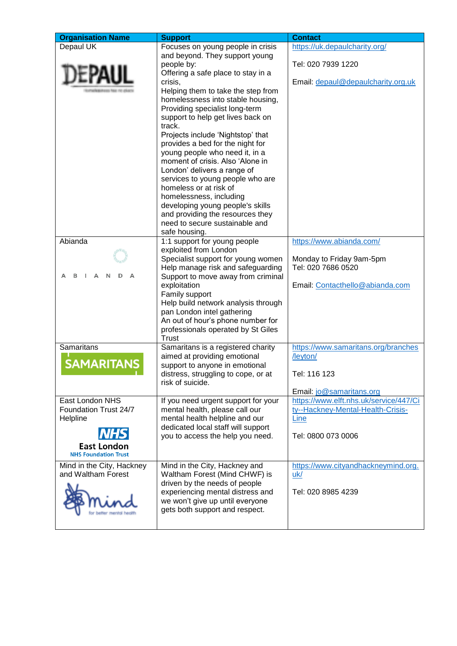| <b>Organisation Name</b>                                                                                  | <b>Support</b>                                                                                                                                                                                                                                                                                                                                                                                                                                                                                                                                                                                                                                | <b>Contact</b>                                                                                                |
|-----------------------------------------------------------------------------------------------------------|-----------------------------------------------------------------------------------------------------------------------------------------------------------------------------------------------------------------------------------------------------------------------------------------------------------------------------------------------------------------------------------------------------------------------------------------------------------------------------------------------------------------------------------------------------------------------------------------------------------------------------------------------|---------------------------------------------------------------------------------------------------------------|
| Depaul UK                                                                                                 | Focuses on young people in crisis<br>and beyond. They support young<br>people by:<br>Offering a safe place to stay in a<br>crisis,<br>Helping them to take the step from<br>homelessness into stable housing,<br>Providing specialist long-term<br>support to help get lives back on<br>track.<br>Projects include 'Nightstop' that<br>provides a bed for the night for<br>young people who need it, in a<br>moment of crisis. Also 'Alone in<br>London' delivers a range of<br>services to young people who are<br>homeless or at risk of<br>homelessness, including<br>developing young people's skills<br>and providing the resources they | https://uk.depaulcharity.org/<br>Tel: 020 7939 1220<br>Email: depaul@depaulcharity.org.uk                     |
|                                                                                                           | need to secure sustainable and                                                                                                                                                                                                                                                                                                                                                                                                                                                                                                                                                                                                                |                                                                                                               |
| Abianda                                                                                                   | safe housing.<br>1:1 support for young people<br>exploited from London<br>Specialist support for young women<br>Help manage risk and safeguarding<br>Support to move away from criminal<br>exploitation<br>Family support<br>Help build network analysis through<br>pan London intel gathering<br>An out of hour's phone number for<br>professionals operated by St Giles<br><b>Trust</b>                                                                                                                                                                                                                                                     | https://www.abianda.com/<br>Monday to Friday 9am-5pm<br>Tel: 020 7686 0520<br>Email: Contacthello@abianda.com |
| Samaritans<br><b>SAMARITANS</b>                                                                           | Samaritans is a registered charity<br>aimed at providing emotional<br>support to anyone in emotional<br>distress, struggling to cope, or at<br>risk of suicide.                                                                                                                                                                                                                                                                                                                                                                                                                                                                               | https://www.samaritans.org/branches<br>/leyton/<br>Tel: 116 123<br>Email: jo@samaritans.org                   |
| East London NHS<br>Foundation Trust 24/7<br>Helpline<br><b>East London</b><br><b>NHS Foundation Trust</b> | If you need urgent support for your<br>mental health, please call our<br>mental health helpline and our<br>dedicated local staff will support<br>you to access the help you need.                                                                                                                                                                                                                                                                                                                                                                                                                                                             | https://www.elft.nhs.uk/service/447/Ci<br>ty--Hackney-Mental-Health-Crisis-<br>Line<br>Tel: 0800 073 0006     |
| Mind in the City, Hackney<br>and Waltham Forest                                                           | Mind in the City, Hackney and<br>Waltham Forest (Mind CHWF) is<br>driven by the needs of people<br>experiencing mental distress and<br>we won't give up until everyone<br>gets both support and respect.                                                                                                                                                                                                                                                                                                                                                                                                                                      | https://www.cityandhackneymind.org.<br>uk/<br>Tel: 020 8985 4239                                              |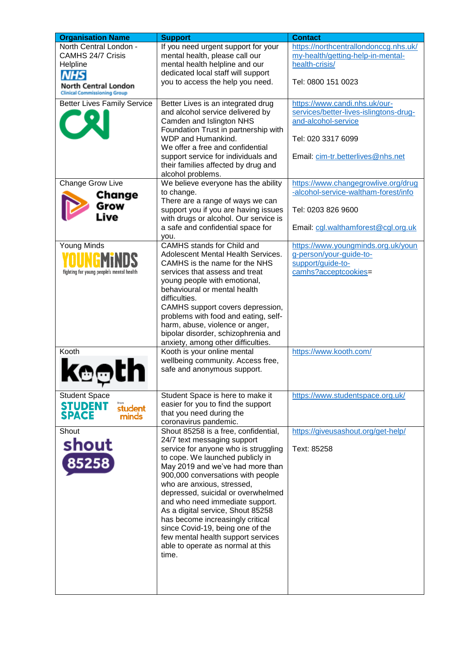| <b>Organisation Name</b>                                                                                    | <b>Support</b>                                                                                                                                                                                                                                                                                                                                                                                                                                                                                                                   | <b>Contact</b>                                                                                                                                            |
|-------------------------------------------------------------------------------------------------------------|----------------------------------------------------------------------------------------------------------------------------------------------------------------------------------------------------------------------------------------------------------------------------------------------------------------------------------------------------------------------------------------------------------------------------------------------------------------------------------------------------------------------------------|-----------------------------------------------------------------------------------------------------------------------------------------------------------|
| North Central London -<br><b>CAMHS 24/7 Crisis</b><br>Helpline<br><b>NHS</b><br><b>North Central London</b> | If you need urgent support for your<br>mental health, please call our<br>mental health helpline and our<br>dedicated local staff will support<br>you to access the help you need.                                                                                                                                                                                                                                                                                                                                                | https://northcentrallondonccg.nhs.uk/<br>my-health/getting-help-in-mental-<br>health-crisis/<br>Tel: 0800 151 0023                                        |
| <b>Clinical Commissioning Group</b><br><b>Better Lives Family Service</b>                                   | Better Lives is an integrated drug<br>and alcohol service delivered by<br>Camden and Islington NHS<br>Foundation Trust in partnership with<br>WDP and Humankind.<br>We offer a free and confidential<br>support service for individuals and<br>their families affected by drug and                                                                                                                                                                                                                                               | https://www.candi.nhs.uk/our-<br>services/better-lives-islingtons-drug-<br>and-alcohol-service<br>Tel: 020 3317 6099<br>Email: cim-tr.betterlives@nhs.net |
| Change Grow Live<br>Change<br>Grow<br>Live                                                                  | alcohol problems.<br>We believe everyone has the ability<br>to change.<br>There are a range of ways we can<br>support you if you are having issues<br>with drugs or alcohol. Our service is<br>a safe and confidential space for<br>vou.                                                                                                                                                                                                                                                                                         | https://www.changegrowlive.org/drug<br>-alcohol-service-waltham-forest/info<br>Tel: 0203 826 9600<br>Email: cgl.walthamforest@cgl.org.uk                  |
| Young Minds<br>fighting for young people's mental health                                                    | CAMHS stands for Child and<br>Adolescent Mental Health Services.<br>CAMHS is the name for the NHS<br>services that assess and treat<br>young people with emotional,<br>behavioural or mental health<br>difficulties.<br>CAMHS support covers depression,<br>problems with food and eating, self-<br>harm, abuse, violence or anger,<br>bipolar disorder, schizophrenia and<br>anxiety, among other difficulties.                                                                                                                 | https://www.youngminds.org.uk/youn<br>g-person/your-guide-to-<br>support/guide-to-<br>camhs?acceptcookies=                                                |
| Kooth<br>w                                                                                                  | Kooth is your online mental<br>wellbeing community. Access free,<br>safe and anonymous support.                                                                                                                                                                                                                                                                                                                                                                                                                                  | https://www.kooth.com/                                                                                                                                    |
| <b>Student Space</b><br><b>STUDENT</b><br>student<br><b>SPACE</b><br>minds                                  | Student Space is here to make it<br>easier for you to find the support<br>that you need during the<br>coronavirus pandemic.                                                                                                                                                                                                                                                                                                                                                                                                      | https://www.studentspace.org.uk/                                                                                                                          |
| Shout<br>shout<br>85258                                                                                     | Shout 85258 is a free, confidential,<br>24/7 text messaging support<br>service for anyone who is struggling<br>to cope. We launched publicly in<br>May 2019 and we've had more than<br>900,000 conversations with people<br>who are anxious, stressed,<br>depressed, suicidal or overwhelmed<br>and who need immediate support.<br>As a digital service, Shout 85258<br>has become increasingly critical<br>since Covid-19, being one of the<br>few mental health support services<br>able to operate as normal at this<br>time. | https://giveusashout.org/get-help/<br>Text: 85258                                                                                                         |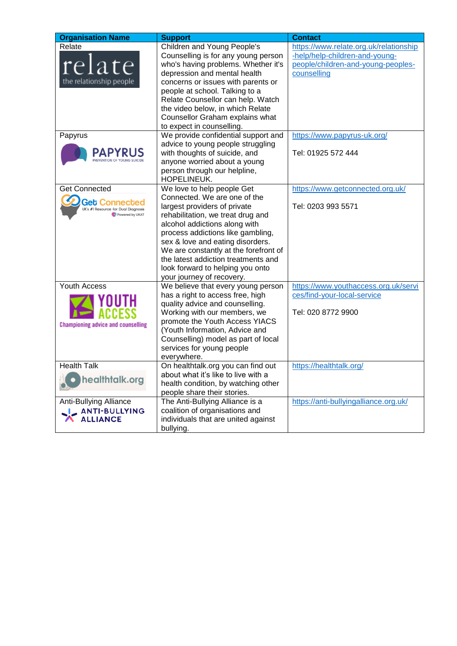| <b>Organisation Name</b>                  | <b>Support</b>                                                 | <b>Contact</b>                         |
|-------------------------------------------|----------------------------------------------------------------|----------------------------------------|
| Relate                                    | Children and Young People's                                    | https://www.relate.org.uk/relationship |
|                                           | Counselling is for any young person                            | -help/help-children-and-young-         |
| relate                                    | who's having problems. Whether it's                            | people/children-and-young-peoples-     |
|                                           | depression and mental health                                   | counselling                            |
| the relationship people                   | concerns or issues with parents or                             |                                        |
|                                           | people at school. Talking to a                                 |                                        |
|                                           | Relate Counsellor can help. Watch                              |                                        |
|                                           | the video below, in which Relate                               |                                        |
|                                           | Counsellor Graham explains what                                |                                        |
|                                           | to expect in counselling.                                      |                                        |
| Papyrus                                   | We provide confidential support and                            | https://www.papyrus-uk.org/            |
|                                           | advice to young people struggling                              |                                        |
|                                           | with thoughts of suicide, and                                  | Tel: 01925 572 444                     |
|                                           | anyone worried about a young                                   |                                        |
|                                           | person through our helpline,<br>HOPELINEUK.                    |                                        |
| <b>Get Connected</b>                      | We love to help people Get                                     | https://www.getconnected.org.uk/       |
| <b>Get Connected</b>                      | Connected. We are one of the                                   |                                        |
| K's #1 Resource for Dual Diagnosis        | largest providers of private                                   | Tel: 0203 993 5571                     |
| Powered by UKAT                           | rehabilitation, we treat drug and                              |                                        |
|                                           | alcohol addictions along with                                  |                                        |
|                                           | process addictions like gambling,                              |                                        |
|                                           | sex & love and eating disorders.                               |                                        |
|                                           | We are constantly at the forefront of                          |                                        |
|                                           | the latest addiction treatments and                            |                                        |
|                                           | look forward to helping you onto                               |                                        |
|                                           | your journey of recovery.                                      |                                        |
| Youth Access                              | We believe that every young person                             | https://www.youthaccess.org.uk/servi   |
|                                           | has a right to access free, high                               | ces/find-your-local-service            |
|                                           | quality advice and counselling.                                | Tel: 020 8772 9900                     |
|                                           | Working with our members, we<br>promote the Youth Access YIACS |                                        |
| <b>Championing advice and counselling</b> | (Youth Information, Advice and                                 |                                        |
|                                           | Counselling) model as part of local                            |                                        |
|                                           | services for young people                                      |                                        |
|                                           | everywhere.                                                    |                                        |
| <b>Health Talk</b>                        | On healthtalk.org you can find out                             | https://healthtalk.org/                |
|                                           | about what it's like to live with a                            |                                        |
| healthtalk.org                            | health condition, by watching other                            |                                        |
|                                           | people share their stories.                                    |                                        |
| Anti-Bullying Alliance                    | The Anti-Bullying Alliance is a                                | https://anti-bullyingalliance.org.uk/  |
| <b>LANTI-BULLYING</b>                     | coalition of organisations and                                 |                                        |
| <b>ALLIANCE</b><br>$\mathbf{\Lambda}$     | individuals that are united against                            |                                        |
|                                           | bullying.                                                      |                                        |